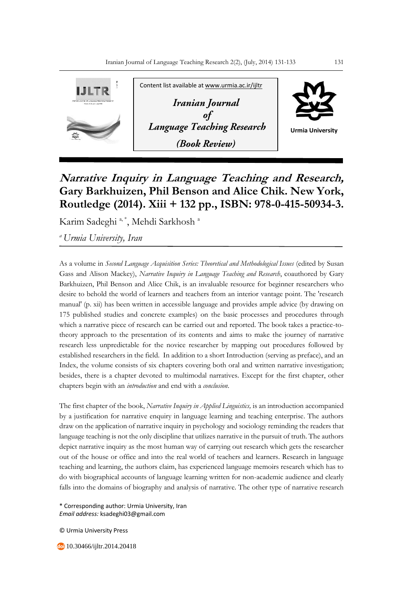

## **Narrative Inquiry in Language Teaching and Research, Gary Barkhuizen, Phil Benson and Alice Chik. New York, Routledge (2014). Xiii + 132 pp., ISBN: 978-0-415-50934-3.**

Karim Sadeghi<sup>a,\*</sup>, Mehdi Sarkhosh<sup>a</sup>

*<sup>a</sup>Urmia University, Iran*

As a volume in *Second Language Acquisition Series: Theoretical and Methodological Issues* (edited by Susan Gass and Alison Mackey), *Narrative Inquiry in Language Teaching and Research*, coauthored by Gary Barkhuizen, Phil Benson and Alice Chik, is an invaluable resource for beginner researchers who desire to behold the world of learners and teachers from an interior vantage point. The 'research manual' (p. xii) has been written in accessible language and provides ample advice (by drawing on 175 published studies and concrete examples) on the basic processes and procedures through which a narrative piece of research can be carried out and reported. The book takes a practice-totheory approach to the presentation of its contents and aims to make the journey of narrative research less unpredictable for the novice researcher by mapping out procedures followed by established researchers in the field. In addition to a short Introduction (serving as preface), and an Index, the volume consists of six chapters covering both oral and written narrative investigation; besides, there is a chapter devoted to multimodal narratives. Except for the first chapter, other chapters begin with an *introduction* and end with a *conclusion*.

The first chapter of the book, *Narrative Inquiry in Applied Linguistics,* is an introduction accompanied by a justification for narrative enquiry in language learning and teaching enterprise. The authors draw on the application of narrative inquiry in psychology and sociology reminding the readers that language teaching is not the only discipline that utilizes narrative in the pursuit of truth. The authors depict narrative inquiry as the most human way of carrying out research which gets the researcher out of the house or office and into the real world of teachers and learners. Research in language teaching and learning, the authors claim, has experienced language memoirs research which has to do with biographical accounts of language learning written for non-academic audience and clearly falls into the domains of biography and analysis of narrative. The other type of narrative research

\* Corresponding author: Urmia University, Iran *Email address:* ksadeghi03@gmail.com

© Urmia University Press

10.30466/ijltr.2014.20418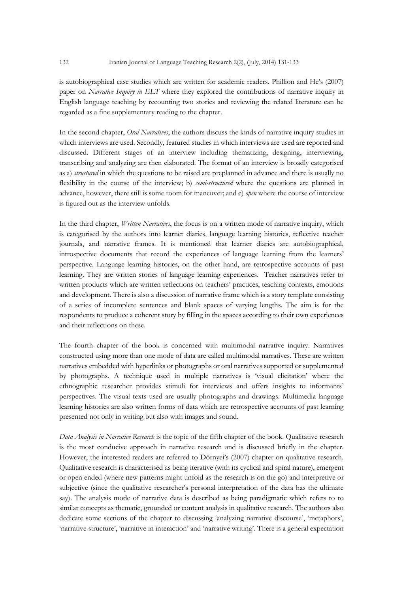is autobiographical case studies which are written for academic readers. Phillion and He's (2007) paper on *Narrative Inquiry in ELT* where they explored the contributions of narrative inquiry in English language teaching by recounting two stories and reviewing the related literature can be regarded as a fine supplementary reading to the chapter.

In the second chapter, *Oral Narratives*, the authors discuss the kinds of narrative inquiry studies in which interviews are used. Secondly, featured studies in which interviews are used are reported and discussed. Different stages of an interview including thematizing, designing, interviewing, transcribing and analyzing are then elaborated. The format of an interview is broadly categorised as a) *structured* in which the questions to be raised are preplanned in advance and there is usually no flexibility in the course of the interview; b) *semi-structured* where the questions are planned in advance, however, there still is some room for maneuver; and c) *open* where the course of interview is figured out as the interview unfolds.

In the third chapter, *Written Narratives*, the focus is on a written mode of narrative inquiry, which is categorised by the authors into learner diaries, language learning histories, reflective teacher journals, and narrative frames. It is mentioned that learner diaries are autobiographical, introspective documents that record the experiences of language learning from the learners' perspective. Language learning histories, on the other hand, are retrospective accounts of past learning. They are written stories of language learning experiences. Teacher narratives refer to written products which are written reflections on teachers' practices, teaching contexts, emotions and development. There is also a discussion of narrative frame which is a story template consisting of a series of incomplete sentences and blank spaces of varying lengths. The aim is for the respondents to produce a coherent story by filling in the spaces according to their own experiences and their reflections on these.

The fourth chapter of the book is concerned with multimodal narrative inquiry. Narratives constructed using more than one mode of data are called multimodal narratives. These are written narratives embedded with hyperlinks or photographs or oral narratives supported or supplemented by photographs. A technique used in multiple narratives is 'visual elicitation' where the ethnographic researcher provides stimuli for interviews and offers insights to informants' perspectives. The visual texts used are usually photographs and drawings. Multimedia language learning histories are also written forms of data which are retrospective accounts of past learning presented not only in writing but also with images and sound.

*Data Analysis in Narrative Research* is the topic of the fifth chapter of the book. Qualitative research is the most conducive approach in narrative research and is discussed briefly in the chapter. However, the interested readers are referred to Dörnyei's (2007) chapter on qualitative research. Qualitative research is characterised as being iterative (with its cyclical and spiral nature), emergent or open ended (where new patterns might unfold as the research is on the go) and interpretive or subjective (since the qualitative researcher's personal interpretation of the data has the ultimate say). The analysis mode of narrative data is described as being paradigmatic which refers to to similar concepts as thematic, grounded or content analysis in qualitative research. The authors also dedicate some sections of the chapter to discussing 'analyzing narrative discourse', 'metaphors', 'narrative structure', 'narrative in interaction' and 'narrative writing'. There is a general expectation